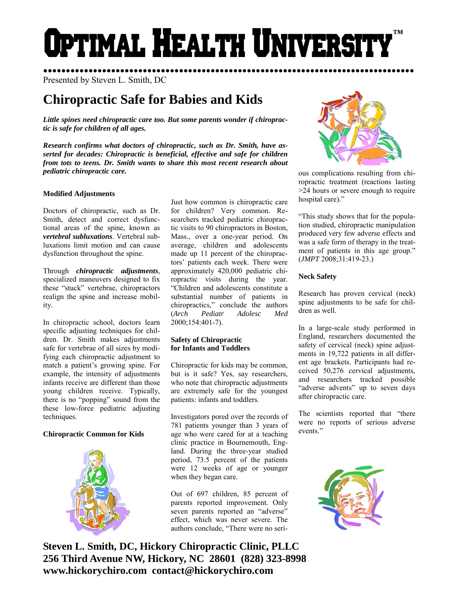# Optimal Health Universi **™**

●●●●●●●●●●●●●●●●●●●●●●●●●●●●●●●●●●●●●●●●●●●●●●●●●●●●●●●●●●●●●●●●●●●●●●●●●●●●●●●●●● Presented by Steven L. Smith, DC

# **Chiropractic Safe for Babies and Kids**

*Little spines need chiropractic care too. But some parents wonder if chiropractic is safe for children of all ages.* 

*Research confirms what doctors of chiropractic, such as Dr. Smith, have asserted for decades: Chiropractic is beneficial, effective and safe for children from tots to teens. Dr. Smith wants to share this most recent research about pediatric chiropractic care.* 

# **Modified Adjustments**

Doctors of chiropractic, such as Dr. Smith, detect and correct dysfunctional areas of the spine, known as *vertebral subluxations*. Vertebral subluxations limit motion and can cause dysfunction throughout the spine.

Through *chiropractic adjustments*, specialized maneuvers designed to fix these "stuck" vertebrae, chiropractors realign the spine and increase mobility.

In chiropractic school, doctors learn specific adjusting techniques for children. Dr. Smith makes adjustments safe for vertebrae of all sizes by modifying each chiropractic adjustment to match a patient's growing spine. For example, the intensity of adjustments infants receive are different than those young children receive. Typically, there is no "popping" sound from the these low-force pediatric adjusting techniques.

## **Chiropractic Common for Kids**



Just how common is chiropractic care for children? Very common. Researchers tracked pediatric chiropractic visits to 90 chiropractors in Boston, Mass., over a one-year period. On average, children and adolescents made up 11 percent of the chiropractors' patients each week. There were approximately 420,000 pediatric chiropractic visits during the year. "Children and adolescents constitute a substantial number of patients in chiropractics," conclude the authors (*Arch Pediatr Adolesc Med* 2000;154:401-7).

# **Safety of Chiropractic for Infants and Toddlers**

Chiropractic for kids may be common, but is it safe? Yes, say researchers, who note that chiropractic adjustments are extremely safe for the youngest patients: infants and toddlers.

Investigators pored over the records of 781 patients younger than 3 years of age who were cared for at a teaching clinic practice in Bournemouth, England. During the three-year studied period, 73.5 percent of the patients were 12 weeks of age or younger when they began care.

Out of 697 children, 85 percent of parents reported improvement. Only seven parents reported an "adverse" effect, which was never severe. The authors conclude, "There were no seri-

**Steven L. Smith, DC, Hickory Chiropractic Clinic, PLLC 256 Third Avenue NW, Hickory, NC 28601 (828) 323-8998 www.hickorychiro.com contact@hickorychiro.com** 



ous complications resulting from chiropractic treatment (reactions lasting >24 hours or severe enough to require hospital care)."

"This study shows that for the population studied, chiropractic manipulation produced very few adverse effects and was a safe form of therapy in the treatment of patients in this age group." (*JMPT* 2008;31:419-23.)

# **Neck Safety**

Research has proven cervical (neck) spine adjustments to be safe for children as well.

In a large-scale study performed in England, researchers documented the safety of cervical (neck) spine adjustments in 19,722 patients in all different age brackets. Participants had received 50,276 cervical adjustments, and researchers tracked possible "adverse advents" up to seven days after chiropractic care.

The scientists reported that "there were no reports of serious adverse events."